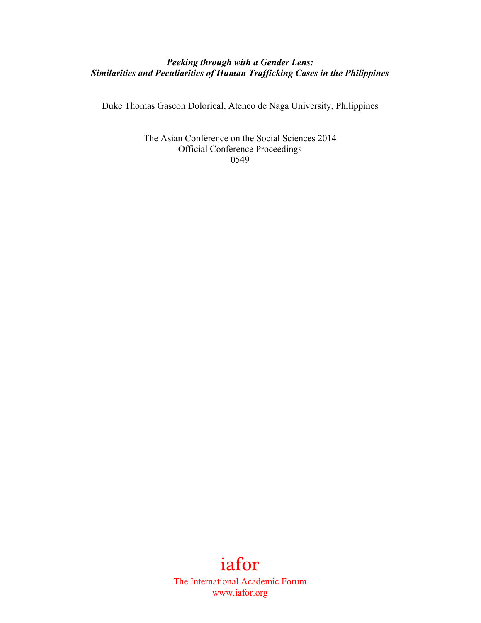## *Peeking through with a Gender Lens: Similarities and Peculiarities of Human Trafficking Cases in the Philippines*

Duke Thomas Gascon Dolorical, Ateneo de Naga University, Philippines

The Asian Conference on the Social Sciences 2014 Official Conference Proceedings 0549

# iafor

The International Academic Forum www.iafor.org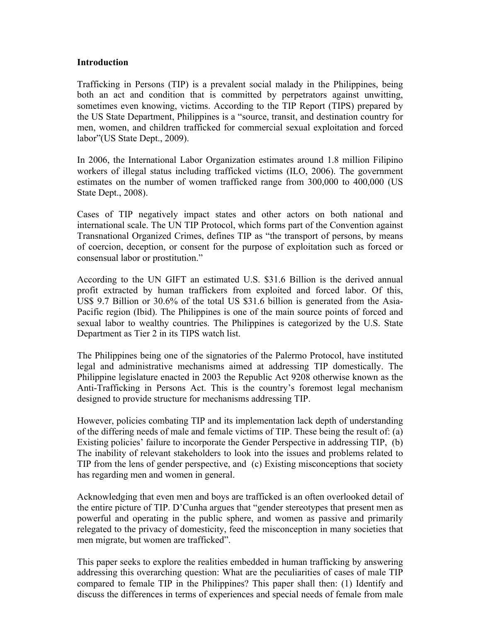#### **Introduction**

Trafficking in Persons (TIP) is a prevalent social malady in the Philippines, being both an act and condition that is committed by perpetrators against unwitting, sometimes even knowing, victims. According to the TIP Report (TIPS) prepared by the US State Department, Philippines is a "source, transit, and destination country for men, women, and children trafficked for commercial sexual exploitation and forced labor"(US State Dept., 2009).

In 2006, the International Labor Organization estimates around 1.8 million Filipino workers of illegal status including trafficked victims (ILO, 2006). The government estimates on the number of women trafficked range from 300,000 to 400,000 (US State Dept., 2008).

Cases of TIP negatively impact states and other actors on both national and international scale. The UN TIP Protocol, which forms part of the Convention against Transnational Organized Crimes, defines TIP as "the transport of persons, by means of coercion, deception, or consent for the purpose of exploitation such as forced or consensual labor or prostitution."

According to the UN GIFT an estimated U.S. \$31.6 Billion is the derived annual profit extracted by human traffickers from exploited and forced labor. Of this, US\$ 9.7 Billion or 30.6% of the total US \$31.6 billion is generated from the Asia-Pacific region (Ibid). The Philippines is one of the main source points of forced and sexual labor to wealthy countries. The Philippines is categorized by the U.S. State Department as Tier 2 in its TIPS watch list.

The Philippines being one of the signatories of the Palermo Protocol, have instituted legal and administrative mechanisms aimed at addressing TIP domestically. The Philippine legislature enacted in 2003 the Republic Act 9208 otherwise known as the Anti-Trafficking in Persons Act. This is the country's foremost legal mechanism designed to provide structure for mechanisms addressing TIP.

However, policies combating TIP and its implementation lack depth of understanding of the differing needs of male and female victims of TIP. These being the result of: (a) Existing policies' failure to incorporate the Gender Perspective in addressing TIP, (b) The inability of relevant stakeholders to look into the issues and problems related to TIP from the lens of gender perspective, and (c) Existing misconceptions that society has regarding men and women in general.

Acknowledging that even men and boys are trafficked is an often overlooked detail of the entire picture of TIP. D'Cunha argues that "gender stereotypes that present men as powerful and operating in the public sphere, and women as passive and primarily relegated to the privacy of domesticity, feed the misconception in many societies that men migrate, but women are trafficked".

This paper seeks to explore the realities embedded in human trafficking by answering addressing this overarching question: What are the peculiarities of cases of male TIP compared to female TIP in the Philippines? This paper shall then: (1) Identify and discuss the differences in terms of experiences and special needs of female from male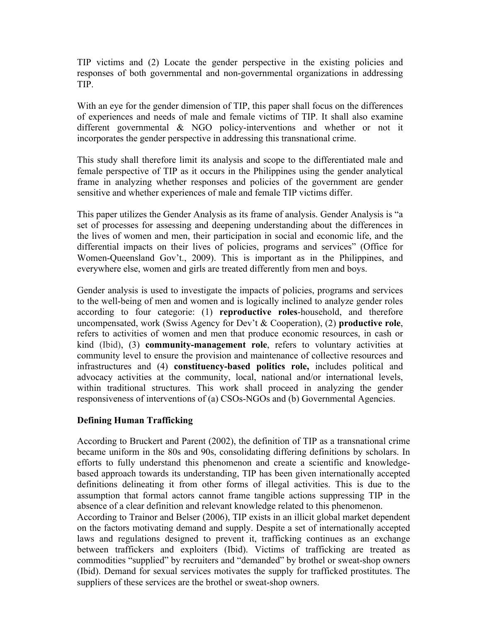TIP victims and (2) Locate the gender perspective in the existing policies and responses of both governmental and non-governmental organizations in addressing TIP.

With an eye for the gender dimension of TIP, this paper shall focus on the differences of experiences and needs of male and female victims of TIP. It shall also examine different governmental & NGO policy-interventions and whether or not it incorporates the gender perspective in addressing this transnational crime.

This study shall therefore limit its analysis and scope to the differentiated male and female perspective of TIP as it occurs in the Philippines using the gender analytical frame in analyzing whether responses and policies of the government are gender sensitive and whether experiences of male and female TIP victims differ.

This paper utilizes the Gender Analysis as its frame of analysis. Gender Analysis is "a set of processes for assessing and deepening understanding about the differences in the lives of women and men, their participation in social and economic life, and the differential impacts on their lives of policies, programs and services" (Office for Women-Queensland Gov't., 2009). This is important as in the Philippines, and everywhere else, women and girls are treated differently from men and boys.

Gender analysis is used to investigate the impacts of policies, programs and services to the well-being of men and women and is logically inclined to analyze gender roles according to four categorie: (1) **reproductive roles**-household, and therefore uncompensated, work (Swiss Agency for Dev't & Cooperation), (2) **productive role**, refers to activities of women and men that produce economic resources, in cash or kind (Ibid), (3) **community-management role**, refers to voluntary activities at community level to ensure the provision and maintenance of collective resources and infrastructures and (4) **constituency-based politics role,** includes political and advocacy activities at the community, local, national and/or international levels, within traditional structures. This work shall proceed in analyzing the gender responsiveness of interventions of (a) CSOs-NGOs and (b) Governmental Agencies.

## **Defining Human Trafficking**

According to Bruckert and Parent (2002), the definition of TIP as a transnational crime became uniform in the 80s and 90s, consolidating differing definitions by scholars. In efforts to fully understand this phenomenon and create a scientific and knowledgebased approach towards its understanding, TIP has been given internationally accepted definitions delineating it from other forms of illegal activities. This is due to the assumption that formal actors cannot frame tangible actions suppressing TIP in the absence of a clear definition and relevant knowledge related to this phenomenon.

According to Trainor and Belser (2006), TIP exists in an illicit global market dependent on the factors motivating demand and supply. Despite a set of internationally accepted laws and regulations designed to prevent it, trafficking continues as an exchange between traffickers and exploiters (Ibid). Victims of trafficking are treated as commodities "supplied" by recruiters and "demanded" by brothel or sweat-shop owners (Ibid). Demand for sexual services motivates the supply for trafficked prostitutes. The suppliers of these services are the brothel or sweat-shop owners.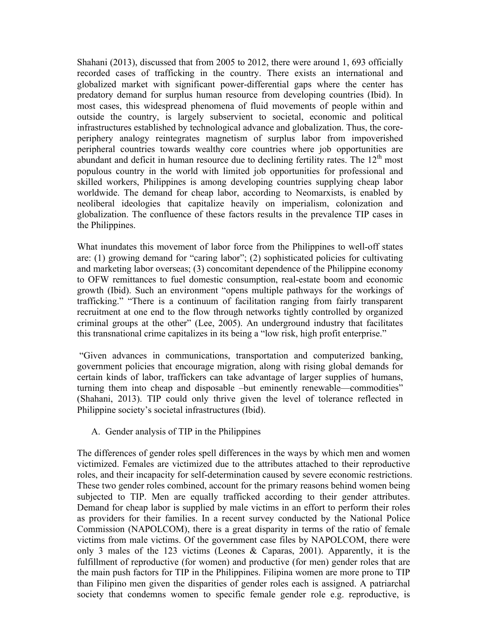Shahani (2013), discussed that from 2005 to 2012, there were around 1, 693 officially recorded cases of trafficking in the country. There exists an international and globalized market with significant power-differential gaps where the center has predatory demand for surplus human resource from developing countries (Ibid). In most cases, this widespread phenomena of fluid movements of people within and outside the country, is largely subservient to societal, economic and political infrastructures established by technological advance and globalization. Thus, the coreperiphery analogy reintegrates magnetism of surplus labor from impoverished peripheral countries towards wealthy core countries where job opportunities are abundant and deficit in human resource due to declining fertility rates. The  $12<sup>th</sup>$  most populous country in the world with limited job opportunities for professional and skilled workers, Philippines is among developing countries supplying cheap labor worldwide. The demand for cheap labor, according to Neomarxists, is enabled by neoliberal ideologies that capitalize heavily on imperialism, colonization and globalization. The confluence of these factors results in the prevalence TIP cases in the Philippines.

What inundates this movement of labor force from the Philippines to well-off states are: (1) growing demand for "caring labor"; (2) sophisticated policies for cultivating and marketing labor overseas; (3) concomitant dependence of the Philippine economy to OFW remittances to fuel domestic consumption, real-estate boom and economic growth (Ibid). Such an environment "opens multiple pathways for the workings of trafficking." "There is a continuum of facilitation ranging from fairly transparent recruitment at one end to the flow through networks tightly controlled by organized criminal groups at the other" (Lee, 2005). An underground industry that facilitates this transnational crime capitalizes in its being a "low risk, high profit enterprise."

"Given advances in communications, transportation and computerized banking, government policies that encourage migration, along with rising global demands for certain kinds of labor, traffickers can take advantage of larger supplies of humans, turning them into cheap and disposable –but eminently renewable—commodities" (Shahani, 2013). TIP could only thrive given the level of tolerance reflected in Philippine society's societal infrastructures (Ibid).

A. Gender analysis of TIP in the Philippines

The differences of gender roles spell differences in the ways by which men and women victimized. Females are victimized due to the attributes attached to their reproductive roles, and their incapacity for self-determination caused by severe economic restrictions. These two gender roles combined, account for the primary reasons behind women being subjected to TIP. Men are equally trafficked according to their gender attributes. Demand for cheap labor is supplied by male victims in an effort to perform their roles as providers for their families. In a recent survey conducted by the National Police Commission (NAPOLCOM), there is a great disparity in terms of the ratio of female victims from male victims. Of the government case files by NAPOLCOM, there were only 3 males of the 123 victims (Leones & Caparas, 2001). Apparently, it is the fulfillment of reproductive (for women) and productive (for men) gender roles that are the main push factors for TIP in the Philippines. Filipina women are more prone to TIP than Filipino men given the disparities of gender roles each is assigned. A patriarchal society that condemns women to specific female gender role e.g. reproductive, is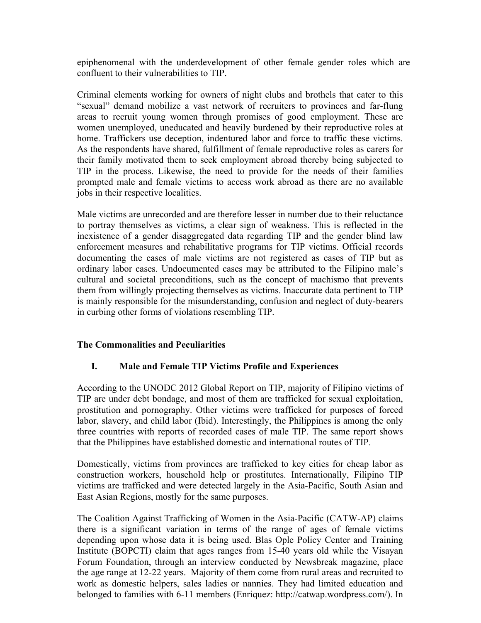epiphenomenal with the underdevelopment of other female gender roles which are confluent to their vulnerabilities to TIP.

Criminal elements working for owners of night clubs and brothels that cater to this "sexual" demand mobilize a vast network of recruiters to provinces and far-flung areas to recruit young women through promises of good employment. These are women unemployed, uneducated and heavily burdened by their reproductive roles at home. Traffickers use deception, indentured labor and force to traffic these victims. As the respondents have shared, fulfillment of female reproductive roles as carers for their family motivated them to seek employment abroad thereby being subjected to TIP in the process. Likewise, the need to provide for the needs of their families prompted male and female victims to access work abroad as there are no available jobs in their respective localities.

Male victims are unrecorded and are therefore lesser in number due to their reluctance to portray themselves as victims, a clear sign of weakness. This is reflected in the inexistence of a gender disaggregated data regarding TIP and the gender blind law enforcement measures and rehabilitative programs for TIP victims. Official records documenting the cases of male victims are not registered as cases of TIP but as ordinary labor cases. Undocumented cases may be attributed to the Filipino male's cultural and societal preconditions, such as the concept of machismo that prevents them from willingly projecting themselves as victims. Inaccurate data pertinent to TIP is mainly responsible for the misunderstanding, confusion and neglect of duty-bearers in curbing other forms of violations resembling TIP.

## **The Commonalities and Peculiarities**

## **I. Male and Female TIP Victims Profile and Experiences**

According to the UNODC 2012 Global Report on TIP, majority of Filipino victims of TIP are under debt bondage, and most of them are trafficked for sexual exploitation, prostitution and pornography. Other victims were trafficked for purposes of forced labor, slavery, and child labor (Ibid). Interestingly, the Philippines is among the only three countries with reports of recorded cases of male TIP. The same report shows that the Philippines have established domestic and international routes of TIP.

Domestically, victims from provinces are trafficked to key cities for cheap labor as construction workers, household help or prostitutes. Internationally, Filipino TIP victims are trafficked and were detected largely in the Asia-Pacific, South Asian and East Asian Regions, mostly for the same purposes.

The Coalition Against Trafficking of Women in the Asia-Pacific (CATW-AP) claims there is a significant variation in terms of the range of ages of female victims depending upon whose data it is being used. Blas Ople Policy Center and Training Institute (BOPCTI) claim that ages ranges from 15-40 years old while the Visayan Forum Foundation, through an interview conducted by Newsbreak magazine, place the age range at 12-22 years. Majority of them come from rural areas and recruited to work as domestic helpers, sales ladies or nannies. They had limited education and belonged to families with 6-11 members (Enriquez: http://catwap.wordpress.com/). In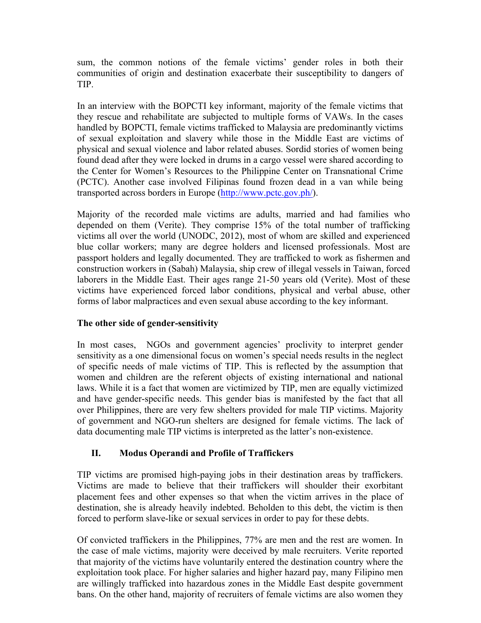sum, the common notions of the female victims' gender roles in both their communities of origin and destination exacerbate their susceptibility to dangers of TIP.

In an interview with the BOPCTI key informant, majority of the female victims that they rescue and rehabilitate are subjected to multiple forms of VAWs. In the cases handled by BOPCTI, female victims trafficked to Malaysia are predominantly victims of sexual exploitation and slavery while those in the Middle East are victims of physical and sexual violence and labor related abuses. Sordid stories of women being found dead after they were locked in drums in a cargo vessel were shared according to the Center for Women's Resources to the Philippine Center on Transnational Crime (PCTC). Another case involved Filipinas found frozen dead in a van while being transported across borders in Europe (http://www.pctc.gov.ph/).

Majority of the recorded male victims are adults, married and had families who depended on them (Verite). They comprise 15% of the total number of trafficking victims all over the world (UNODC, 2012), most of whom are skilled and experienced blue collar workers; many are degree holders and licensed professionals. Most are passport holders and legally documented. They are trafficked to work as fishermen and construction workers in (Sabah) Malaysia, ship crew of illegal vessels in Taiwan, forced laborers in the Middle East. Their ages range 21-50 years old (Verite). Most of these victims have experienced forced labor conditions, physical and verbal abuse, other forms of labor malpractices and even sexual abuse according to the key informant.

## **The other side of gender-sensitivity**

In most cases, NGOs and government agencies' proclivity to interpret gender sensitivity as a one dimensional focus on women's special needs results in the neglect of specific needs of male victims of TIP. This is reflected by the assumption that women and children are the referent objects of existing international and national laws. While it is a fact that women are victimized by TIP, men are equally victimized and have gender-specific needs. This gender bias is manifested by the fact that all over Philippines, there are very few shelters provided for male TIP victims. Majority of government and NGO-run shelters are designed for female victims. The lack of data documenting male TIP victims is interpreted as the latter's non-existence.

# **II. Modus Operandi and Profile of Traffickers**

TIP victims are promised high-paying jobs in their destination areas by traffickers. Victims are made to believe that their traffickers will shoulder their exorbitant placement fees and other expenses so that when the victim arrives in the place of destination, she is already heavily indebted. Beholden to this debt, the victim is then forced to perform slave-like or sexual services in order to pay for these debts.

Of convicted traffickers in the Philippines, 77% are men and the rest are women. In the case of male victims, majority were deceived by male recruiters. Verite reported that majority of the victims have voluntarily entered the destination country where the exploitation took place. For higher salaries and higher hazard pay, many Filipino men are willingly trafficked into hazardous zones in the Middle East despite government bans. On the other hand, majority of recruiters of female victims are also women they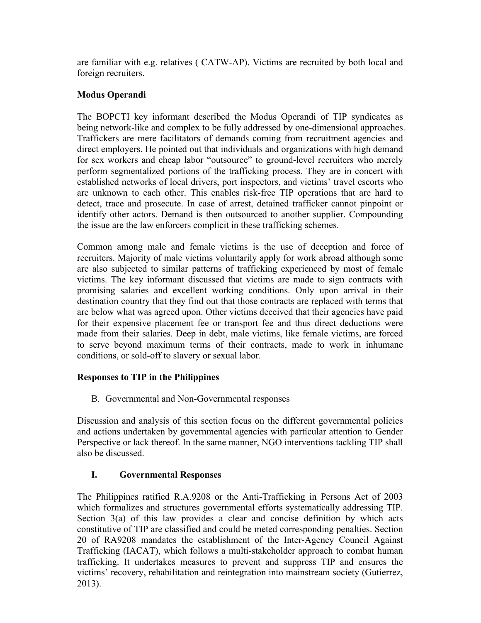are familiar with e.g. relatives ( CATW-AP). Victims are recruited by both local and foreign recruiters.

## **Modus Operandi**

The BOPCTI key informant described the Modus Operandi of TIP syndicates as being network-like and complex to be fully addressed by one-dimensional approaches. Traffickers are mere facilitators of demands coming from recruitment agencies and direct employers. He pointed out that individuals and organizations with high demand for sex workers and cheap labor "outsource" to ground-level recruiters who merely perform segmentalized portions of the trafficking process. They are in concert with established networks of local drivers, port inspectors, and victims' travel escorts who are unknown to each other. This enables risk-free TIP operations that are hard to detect, trace and prosecute. In case of arrest, detained trafficker cannot pinpoint or identify other actors. Demand is then outsourced to another supplier. Compounding the issue are the law enforcers complicit in these trafficking schemes.

Common among male and female victims is the use of deception and force of recruiters. Majority of male victims voluntarily apply for work abroad although some are also subjected to similar patterns of trafficking experienced by most of female victims. The key informant discussed that victims are made to sign contracts with promising salaries and excellent working conditions. Only upon arrival in their destination country that they find out that those contracts are replaced with terms that are below what was agreed upon. Other victims deceived that their agencies have paid for their expensive placement fee or transport fee and thus direct deductions were made from their salaries. Deep in debt, male victims, like female victims, are forced to serve beyond maximum terms of their contracts, made to work in inhumane conditions, or sold-off to slavery or sexual labor.

## **Responses to TIP in the Philippines**

B. Governmental and Non-Governmental responses

Discussion and analysis of this section focus on the different governmental policies and actions undertaken by governmental agencies with particular attention to Gender Perspective or lack thereof. In the same manner, NGO interventions tackling TIP shall also be discussed.

# **I. Governmental Responses**

The Philippines ratified R.A.9208 or the Anti-Trafficking in Persons Act of 2003 which formalizes and structures governmental efforts systematically addressing TIP. Section 3(a) of this law provides a clear and concise definition by which acts constitutive of TIP are classified and could be meted corresponding penalties. Section 20 of RA9208 mandates the establishment of the Inter-Agency Council Against Trafficking (IACAT), which follows a multi-stakeholder approach to combat human trafficking. It undertakes measures to prevent and suppress TIP and ensures the victims' recovery, rehabilitation and reintegration into mainstream society (Gutierrez, 2013).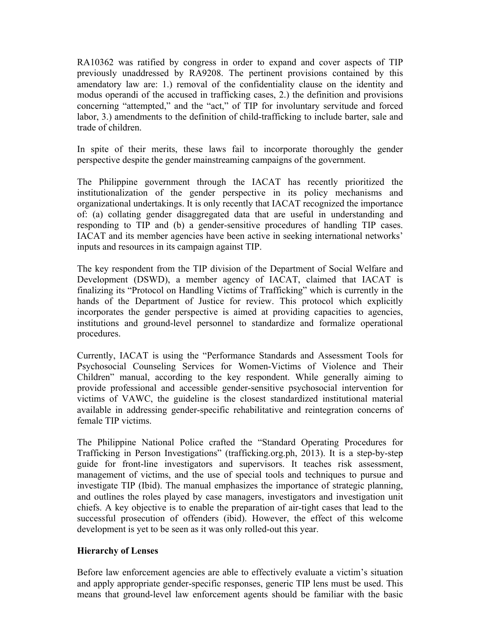RA10362 was ratified by congress in order to expand and cover aspects of TIP previously unaddressed by RA9208. The pertinent provisions contained by this amendatory law are: 1.) removal of the confidentiality clause on the identity and modus operandi of the accused in trafficking cases, 2.) the definition and provisions concerning "attempted," and the "act," of TIP for involuntary servitude and forced labor, 3.) amendments to the definition of child-trafficking to include barter, sale and trade of children.

In spite of their merits, these laws fail to incorporate thoroughly the gender perspective despite the gender mainstreaming campaigns of the government.

The Philippine government through the IACAT has recently prioritized the institutionalization of the gender perspective in its policy mechanisms and organizational undertakings. It is only recently that IACAT recognized the importance of: (a) collating gender disaggregated data that are useful in understanding and responding to TIP and (b) a gender-sensitive procedures of handling TIP cases. IACAT and its member agencies have been active in seeking international networks' inputs and resources in its campaign against TIP.

The key respondent from the TIP division of the Department of Social Welfare and Development (DSWD), a member agency of IACAT, claimed that IACAT is finalizing its "Protocol on Handling Victims of Trafficking" which is currently in the hands of the Department of Justice for review. This protocol which explicitly incorporates the gender perspective is aimed at providing capacities to agencies, institutions and ground-level personnel to standardize and formalize operational procedures.

Currently, IACAT is using the "Performance Standards and Assessment Tools for Psychosocial Counseling Services for Women-Victims of Violence and Their Children" manual, according to the key respondent. While generally aiming to provide professional and accessible gender-sensitive psychosocial intervention for victims of VAWC, the guideline is the closest standardized institutional material available in addressing gender-specific rehabilitative and reintegration concerns of female TIP victims.

The Philippine National Police crafted the "Standard Operating Procedures for Trafficking in Person Investigations" (trafficking.org.ph, 2013). It is a step-by-step guide for front-line investigators and supervisors. It teaches risk assessment, management of victims, and the use of special tools and techniques to pursue and investigate TIP (Ibid). The manual emphasizes the importance of strategic planning, and outlines the roles played by case managers, investigators and investigation unit chiefs. A key objective is to enable the preparation of air-tight cases that lead to the successful prosecution of offenders (ibid). However, the effect of this welcome development is yet to be seen as it was only rolled-out this year.

## **Hierarchy of Lenses**

Before law enforcement agencies are able to effectively evaluate a victim's situation and apply appropriate gender-specific responses, generic TIP lens must be used. This means that ground-level law enforcement agents should be familiar with the basic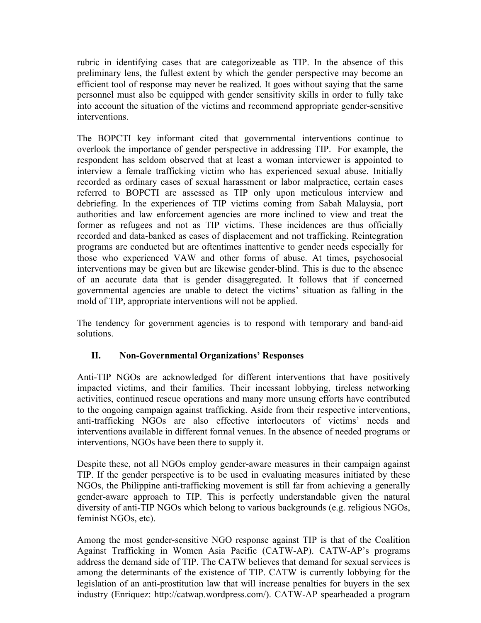rubric in identifying cases that are categorizeable as TIP. In the absence of this preliminary lens, the fullest extent by which the gender perspective may become an efficient tool of response may never be realized. It goes without saying that the same personnel must also be equipped with gender sensitivity skills in order to fully take into account the situation of the victims and recommend appropriate gender-sensitive interventions.

The BOPCTI key informant cited that governmental interventions continue to overlook the importance of gender perspective in addressing TIP. For example, the respondent has seldom observed that at least a woman interviewer is appointed to interview a female trafficking victim who has experienced sexual abuse. Initially recorded as ordinary cases of sexual harassment or labor malpractice, certain cases referred to BOPCTI are assessed as TIP only upon meticulous interview and debriefing. In the experiences of TIP victims coming from Sabah Malaysia, port authorities and law enforcement agencies are more inclined to view and treat the former as refugees and not as TIP victims. These incidences are thus officially recorded and data-banked as cases of displacement and not trafficking. Reintegration programs are conducted but are oftentimes inattentive to gender needs especially for those who experienced VAW and other forms of abuse. At times, psychosocial interventions may be given but are likewise gender-blind. This is due to the absence of an accurate data that is gender disaggregated. It follows that if concerned governmental agencies are unable to detect the victims' situation as falling in the mold of TIP, appropriate interventions will not be applied.

The tendency for government agencies is to respond with temporary and band-aid solutions.

# **II. Non-Governmental Organizations' Responses**

Anti-TIP NGOs are acknowledged for different interventions that have positively impacted victims, and their families. Their incessant lobbying, tireless networking activities, continued rescue operations and many more unsung efforts have contributed to the ongoing campaign against trafficking. Aside from their respective interventions, anti-trafficking NGOs are also effective interlocutors of victims' needs and interventions available in different formal venues. In the absence of needed programs or interventions, NGOs have been there to supply it.

Despite these, not all NGOs employ gender-aware measures in their campaign against TIP. If the gender perspective is to be used in evaluating measures initiated by these NGOs, the Philippine anti-trafficking movement is still far from achieving a generally gender-aware approach to TIP. This is perfectly understandable given the natural diversity of anti-TIP NGOs which belong to various backgrounds (e.g. religious NGOs, feminist NGOs, etc).

Among the most gender-sensitive NGO response against TIP is that of the Coalition Against Trafficking in Women Asia Pacific (CATW-AP). CATW-AP's programs address the demand side of TIP. The CATW believes that demand for sexual services is among the determinants of the existence of TIP. CATW is currently lobbying for the legislation of an anti-prostitution law that will increase penalties for buyers in the sex industry (Enriquez: http://catwap.wordpress.com/). CATW-AP spearheaded a program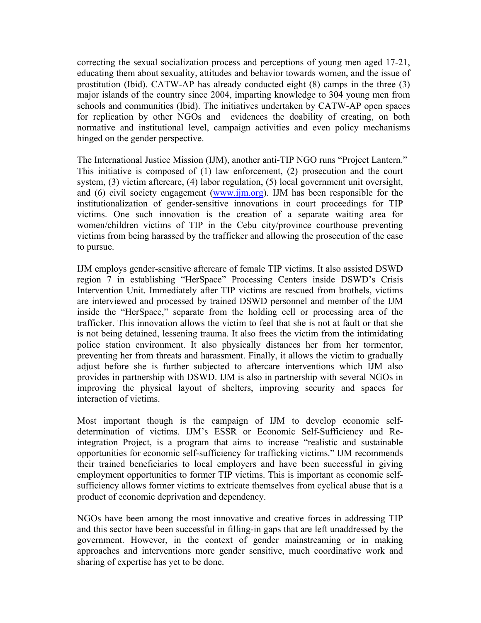correcting the sexual socialization process and perceptions of young men aged 17-21, educating them about sexuality, attitudes and behavior towards women, and the issue of prostitution (Ibid). CATW-AP has already conducted eight (8) camps in the three (3) major islands of the country since 2004, imparting knowledge to 304 young men from schools and communities (Ibid). The initiatives undertaken by CATW-AP open spaces for replication by other NGOs and evidences the doability of creating, on both normative and institutional level, campaign activities and even policy mechanisms hinged on the gender perspective.

The International Justice Mission (IJM), another anti-TIP NGO runs "Project Lantern." This initiative is composed of (1) law enforcement, (2) prosecution and the court system, (3) victim aftercare, (4) labor regulation, (5) local government unit oversight, and (6) civil society engagement (www.ijm.org). IJM has been responsible for the institutionalization of gender-sensitive innovations in court proceedings for TIP victims. One such innovation is the creation of a separate waiting area for women/children victims of TIP in the Cebu city/province courthouse preventing victims from being harassed by the trafficker and allowing the prosecution of the case to pursue.

IJM employs gender-sensitive aftercare of female TIP victims. It also assisted DSWD region 7 in establishing "HerSpace" Processing Centers inside DSWD's Crisis Intervention Unit. Immediately after TIP victims are rescued from brothels, victims are interviewed and processed by trained DSWD personnel and member of the IJM inside the "HerSpace," separate from the holding cell or processing area of the trafficker. This innovation allows the victim to feel that she is not at fault or that she is not being detained, lessening trauma. It also frees the victim from the intimidating police station environment. It also physically distances her from her tormentor, preventing her from threats and harassment. Finally, it allows the victim to gradually adjust before she is further subjected to aftercare interventions which IJM also provides in partnership with DSWD. IJM is also in partnership with several NGOs in improving the physical layout of shelters, improving security and spaces for interaction of victims.

Most important though is the campaign of IJM to develop economic selfdetermination of victims. IJM's ESSR or Economic Self-Sufficiency and Reintegration Project, is a program that aims to increase "realistic and sustainable opportunities for economic self-sufficiency for trafficking victims." IJM recommends their trained beneficiaries to local employers and have been successful in giving employment opportunities to former TIP victims. This is important as economic selfsufficiency allows former victims to extricate themselves from cyclical abuse that is a product of economic deprivation and dependency.

NGOs have been among the most innovative and creative forces in addressing TIP and this sector have been successful in filling-in gaps that are left unaddressed by the government. However, in the context of gender mainstreaming or in making approaches and interventions more gender sensitive, much coordinative work and sharing of expertise has yet to be done.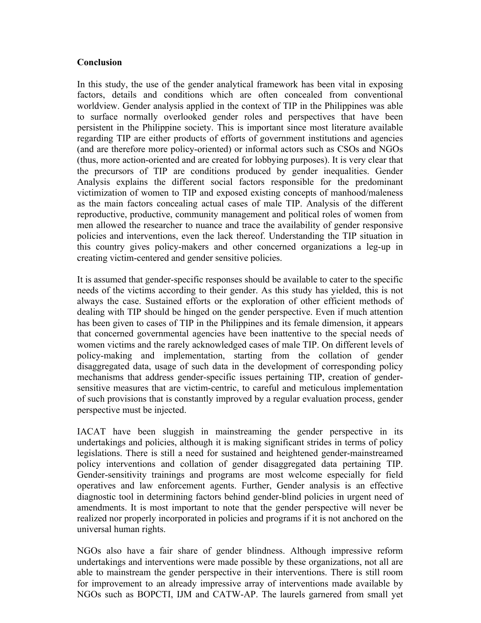#### **Conclusion**

In this study, the use of the gender analytical framework has been vital in exposing factors, details and conditions which are often concealed from conventional worldview. Gender analysis applied in the context of TIP in the Philippines was able to surface normally overlooked gender roles and perspectives that have been persistent in the Philippine society. This is important since most literature available regarding TIP are either products of efforts of government institutions and agencies (and are therefore more policy-oriented) or informal actors such as CSOs and NGOs (thus, more action-oriented and are created for lobbying purposes). It is very clear that the precursors of TIP are conditions produced by gender inequalities. Gender Analysis explains the different social factors responsible for the predominant victimization of women to TIP and exposed existing concepts of manhood/maleness as the main factors concealing actual cases of male TIP. Analysis of the different reproductive, productive, community management and political roles of women from men allowed the researcher to nuance and trace the availability of gender responsive policies and interventions, even the lack thereof. Understanding the TIP situation in this country gives policy-makers and other concerned organizations a leg-up in creating victim-centered and gender sensitive policies.

It is assumed that gender-specific responses should be available to cater to the specific needs of the victims according to their gender. As this study has yielded, this is not always the case. Sustained efforts or the exploration of other efficient methods of dealing with TIP should be hinged on the gender perspective. Even if much attention has been given to cases of TIP in the Philippines and its female dimension, it appears that concerned governmental agencies have been inattentive to the special needs of women victims and the rarely acknowledged cases of male TIP. On different levels of policy-making and implementation, starting from the collation of gender disaggregated data, usage of such data in the development of corresponding policy mechanisms that address gender-specific issues pertaining TIP, creation of gendersensitive measures that are victim-centric, to careful and meticulous implementation of such provisions that is constantly improved by a regular evaluation process, gender perspective must be injected.

IACAT have been sluggish in mainstreaming the gender perspective in its undertakings and policies, although it is making significant strides in terms of policy legislations. There is still a need for sustained and heightened gender-mainstreamed policy interventions and collation of gender disaggregated data pertaining TIP. Gender-sensitivity trainings and programs are most welcome especially for field operatives and law enforcement agents. Further, Gender analysis is an effective diagnostic tool in determining factors behind gender-blind policies in urgent need of amendments. It is most important to note that the gender perspective will never be realized nor properly incorporated in policies and programs if it is not anchored on the universal human rights.

NGOs also have a fair share of gender blindness. Although impressive reform undertakings and interventions were made possible by these organizations, not all are able to mainstream the gender perspective in their interventions. There is still room for improvement to an already impressive array of interventions made available by NGOs such as BOPCTI, IJM and CATW-AP. The laurels garnered from small yet